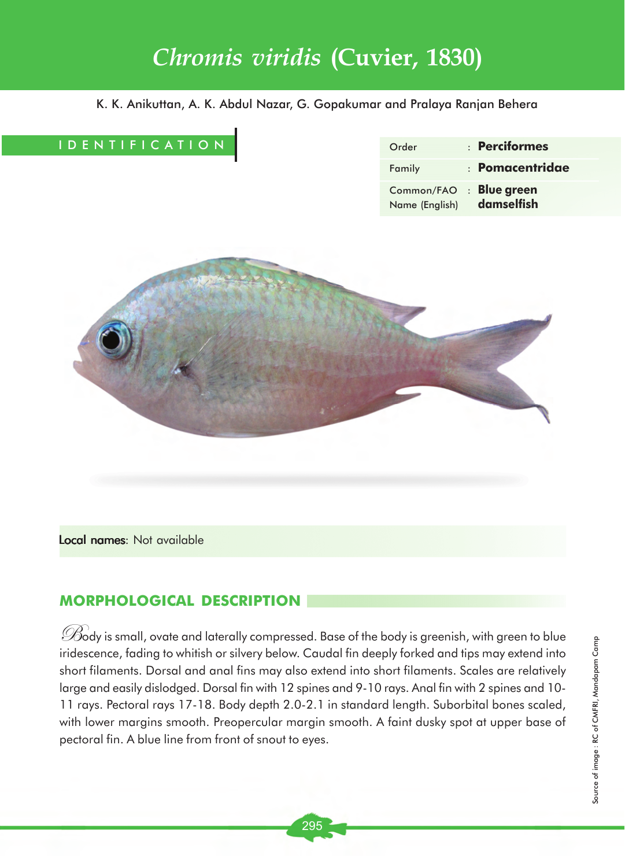# *Chromis viridis* **(Cuvier, 1830)**

K. K. Anikuttan, A. K. Abdul Nazar, G. Gopakumar and Pralaya Ranjan Behera

# IDENTIFICATION

| Order                        | $:$ Perciformes            |
|------------------------------|----------------------------|
| Family                       | $\pm$ Pomacentridae        |
| Common/FAO<br>Name (English) | : Blue green<br>damselfish |



Local names: Not available

# **MORPHOLOGICAL DESCRIPTION**

 $\mathscr{D}$ ody is small, ovate and laterally compressed. Base of the body is greenish, with green to blue iridescence, fading to whitish or silvery below. Caudal fin deeply forked and tips may extend into short filaments. Dorsal and anal fins may also extend into short filaments. Scales are relatively large and easily dislodged. Dorsal fin with 12 spines and 9-10 rays. Anal fin with 2 spines and 10- 11 rays. Pectoral rays 17-18. Body depth 2.0-2.1 in standard length. Suborbital bones scaled, with lower margins smooth. Preopercular margin smooth. A faint dusky spot at upper base of pectoral fin. A blue line from front of snout to eyes.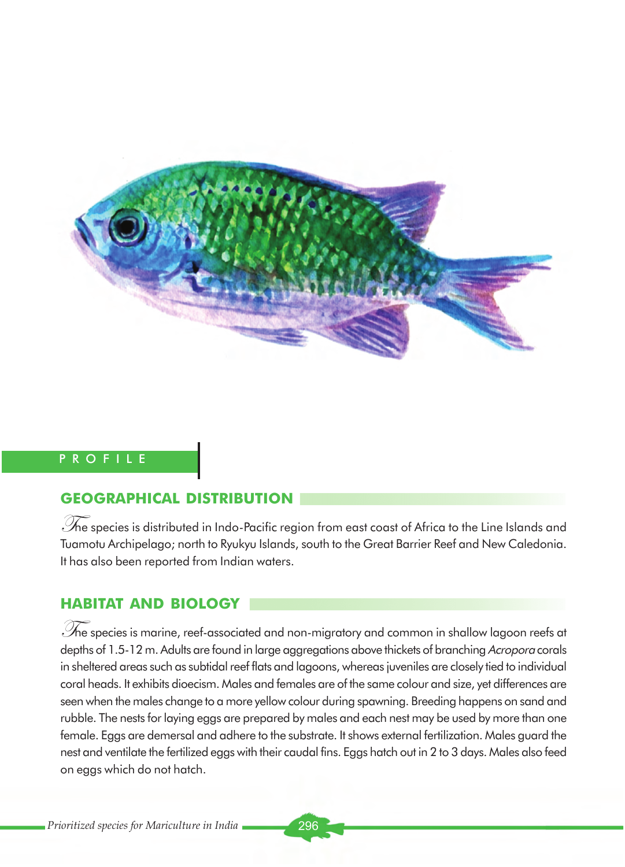

# PROFILE

# **GEOGRAPHICAL DISTRIBUTION**

 $\mathscr{S}$ ne species is distributed in Indo-Pacific region from east coast of Africa to the Line Islands and Tuamotu Archipelago; north to Ryukyu Islands, south to the Great Barrier Reef and New Caledonia. It has also been reported from Indian waters.

# **HABITAT AND BIOLOGY**

 $\mathscr{S}$ he species is marine, reef-associated and non-migratory and common in shallow lagoon reefs at depths of 1.5-12 m. Adults are found in large aggregations above thickets of branching Acropora corals in sheltered areas such as subtidal reef flats and lagoons, whereas juveniles are closely tied to individual coral heads. It exhibits dioecism. Males and females are of the same colour and size, yet differences are seen when the males change to a more yellow colour during spawning. Breeding happens on sand and rubble. The nests for laying eggs are prepared by males and each nest may be used by more than one female. Eggs are demersal and adhere to the substrate. It shows external fertilization. Males guard the nest and ventilate the fertilized eggs with their caudal fins. Eggs hatch out in 2 to 3 days. Males also feed on eggs which do not hatch.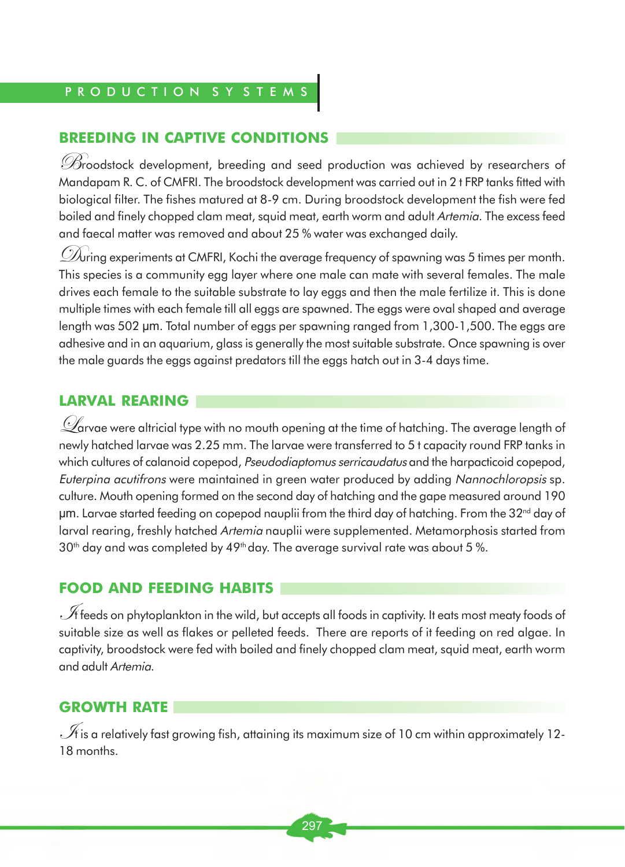# P R O D U C T I O N S Y S T E M

#### **BREEDING IN CAPTIVE CONDITIONS**

Broodstock development, breeding and seed production was achieved by researchers of Mandapam R. C. of CMFRI. The broodstock development was carried out in 2 t FRP tanks fitted with biological filter. The fishes matured at 8-9 cm. During broodstock development the fish were fed boiled and finely chopped clam meat, squid meat, earth worm and adult Artemia. The excess feed and faecal matter was removed and about 25 % water was exchanged daily.

 $\mathscr{D}\!\!\mathscr{N}$ ring experiments at CMFRI, Kochi the average frequency of spawning was 5 times per month. This species is a community egg layer where one male can mate with several females. The male drives each female to the suitable substrate to lay eggs and then the male fertilize it. This is done multiple times with each female till all eggs are spawned. The eggs were oval shaped and average length was 502 µm. Total number of eggs per spawning ranged from 1,300-1,500. The eggs are adhesive and in an aquarium, glass is generally the most suitable substrate. Once spawning is over the male guards the eggs against predators till the eggs hatch out in 3-4 days time.

### **LARVAL REARING**

 $\mathscr Q$ arvae were altricial type with no mouth opening at the time of hatching. The average length of newly hatched larvae was 2.25 mm. The larvae were transferred to 5 t capacity round FRP tanks in which cultures of calanoid copepod, Pseudodiaptomus serricaudatus and the harpacticoid copepod, Euterpina acutifrons were maintained in green water produced by adding Nannochloropsis sp. culture. Mouth opening formed on the second day of hatching and the gape measured around 190  $\mu$ m. Larvae started feeding on copepod nauplii from the third day of hatching. From the 32<sup>nd</sup> day of larval rearing, freshly hatched Artemia nauplii were supplemented. Metamorphosis started from  $30<sup>th</sup>$  day and was completed by 49<sup>th</sup> day. The average survival rate was about 5 %.

#### **FOOD AND FEEDING HABITS**

 $\mathscr A$  feeds on phytoplankton in the wild, but accepts all foods in captivity. It eats most meaty foods of suitable size as well as flakes or pelleted feeds. There are reports of it feeding on red algae. In captivity, broodstock were fed with boiled and finely chopped clam meat, squid meat, earth worm and adult Artemia.

## **GROWTH RATE**

 $\mathscr A$  is a relatively fast growing fish, attaining its maximum size of 10 cm within approximately 12-18 months.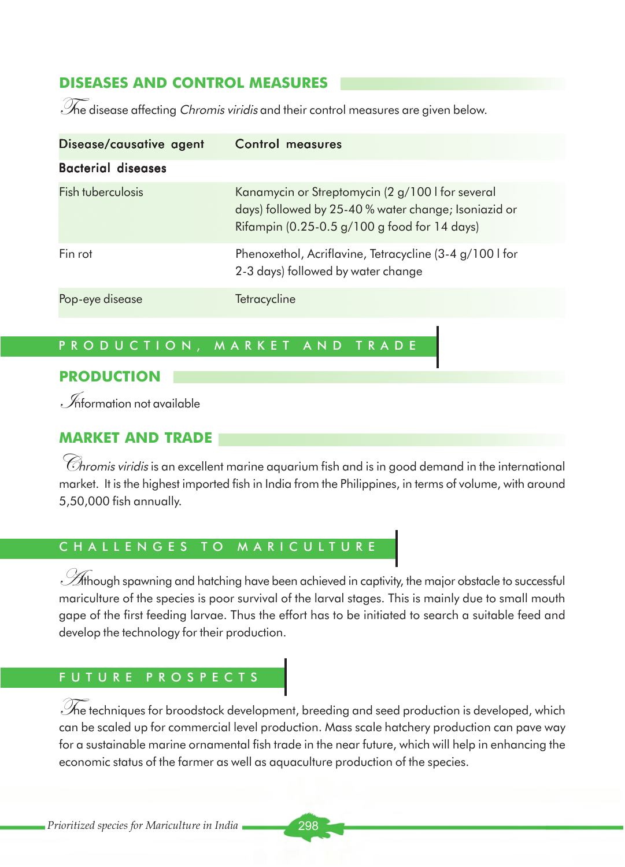# **DISEASES AND CONTROL MEASURES**

The disease affecting Chromis viridis and their control measures are given below.

| Disease/causative agent   | Control measures                                                                                                                                         |
|---------------------------|----------------------------------------------------------------------------------------------------------------------------------------------------------|
| <b>Bacterial diseases</b> |                                                                                                                                                          |
| <b>Fish tuberculosis</b>  | Kanamycin or Streptomycin (2 g/100 I for several<br>days) followed by 25-40 % water change; Isoniazid or<br>Rifampin (0.25-0.5 g/100 g food for 14 days) |
| Fin rot                   | Phenoxethol, Acriflavine, Tetracycline (3-4 g/100 I for<br>2-3 days) followed by water change                                                            |
| Pop-eye disease           | Tetracycline                                                                                                                                             |

# PRODUCTION, MARKET AND TRADE

#### **PRODUCTION**

 $\mathcal{I}$  formation not available

# **MARKET AND TRADE**

 $\mathscr G$ hromis viridis is an excellent marine aquarium fish and is in good demand in the international market. It is the highest imported fish in India from the Philippines, in terms of volume, with around 5,50,000 fish annually.

# CHALLENGES TO MARICULTURE

 $\mathscr A$ though spawning and hatching have been achieved in captivity, the major obstacle to successful mariculture of the species is poor survival of the larval stages. This is mainly due to small mouth gape of the first feeding larvae. Thus the effort has to be initiated to search a suitable feed and develop the technology for their production.

# FUTURE PROSPECTS

 $\mathscr{\widetilde{M}}$ e techniques for broodstock development, breeding and seed production is developed, which can be scaled up for commercial level production. Mass scale hatchery production can pave way for a sustainable marine ornamental fish trade in the near future, which will help in enhancing the economic status of the farmer as well as aquaculture production of the species.